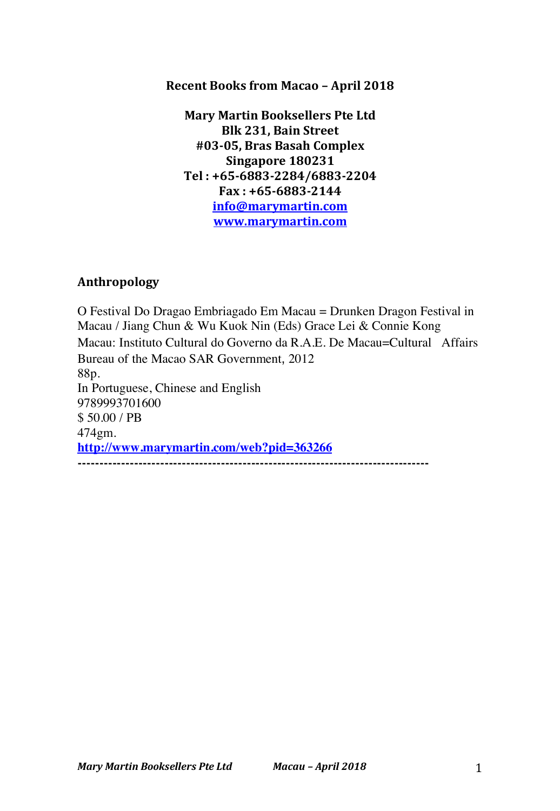### Recent Books from Macao - April 2018

**Mary Martin Booksellers Pte Ltd Blk 231, Bain Street #03-05, Bras Basah Complex Singapore 180231 Tel : +65-6883-2284/6883-2204 Fax : +65-6883-2144 info@marymartin.com www.marymartin.com**

# **Anthropology**

O Festival Do Dragao Embriagado Em Macau = Drunken Dragon Festival in Macau / Jiang Chun & Wu Kuok Nin (Eds) Grace Lei & Connie Kong Macau: Instituto Cultural do Governo da R.A.E. De Macau=Cultural Affairs Bureau of the Macao SAR Government, 2012 88p. In Portuguese, Chinese and English 9789993701600 \$ 50.00 / PB 474gm. **http://www.marymartin.com/web?pid=363266 ---------------------------------------------------------------------------------**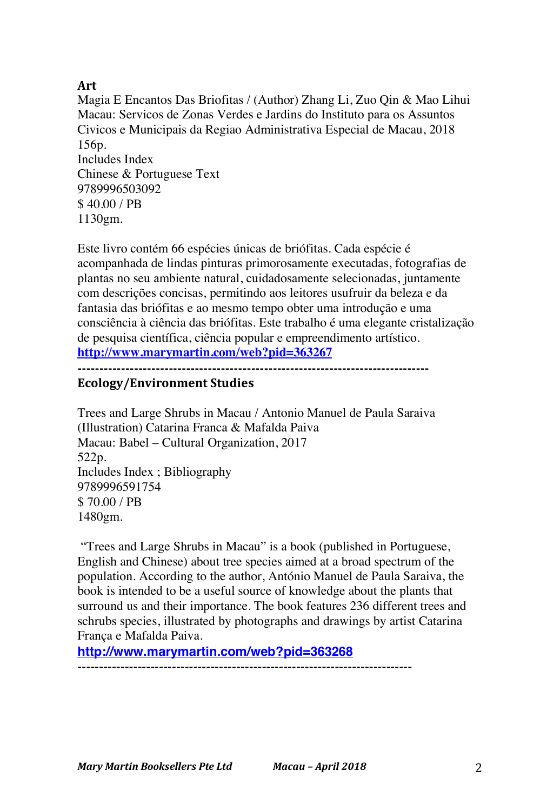# **Art**

Magia E Encantos Das Briofitas / (Author) Zhang Li, Zuo Qin & Mao Lihui Macau: Servicos de Zonas Verdes e Jardins do Instituto para os Assuntos Civicos e Municipais da Regiao Administrativa Especial de Macau, 2018 156p. Includes Index Chinese & Portuguese Text 9789996503092 \$ 40.00 / PB 1130gm.

Este livro contém 66 espécies únicas de briófitas. Cada espécie é acompanhada de lindas pinturas primorosamente executadas, fotografias de plantas no seu ambiente natural, cuidadosamente selecionadas, juntamente com descrições concisas, permitindo aos leitores usufruir da beleza e da fantasia das briófitas e ao mesmo tempo obter uma introdução e uma consciência à ciência das briófitas. Este trabalho é uma elegante cristalização de pesquisa científica, ciência popular e empreendimento artístico. **http://www.marymartin.com/web?pid=363267**

**---------------------------------------------------------------------------------**

# **Ecology/Environment Studies**

Trees and Large Shrubs in Macau / Antonio Manuel de Paula Saraiva (Illustration) Catarina Franca & Mafalda Paiva Macau: Babel – Cultural Organization, 2017 522p. Includes Index ; Bibliography 9789996591754 \$ 70.00 / PB 1480gm.

"Trees and Large Shrubs in Macau" is a book (published in Portuguese, English and Chinese) about tree species aimed at a broad spectrum of the population. According to the author, António Manuel de Paula Saraiva, the book is intended to be a useful source of knowledge about the plants that surround us and their importance. The book features 236 different trees and schrubs species, illustrated by photographs and drawings by artist Catarina França e Mafalda Paiva.

**http://www.marymartin.com/web?pid=363268** ------------------------------------------------------------------------------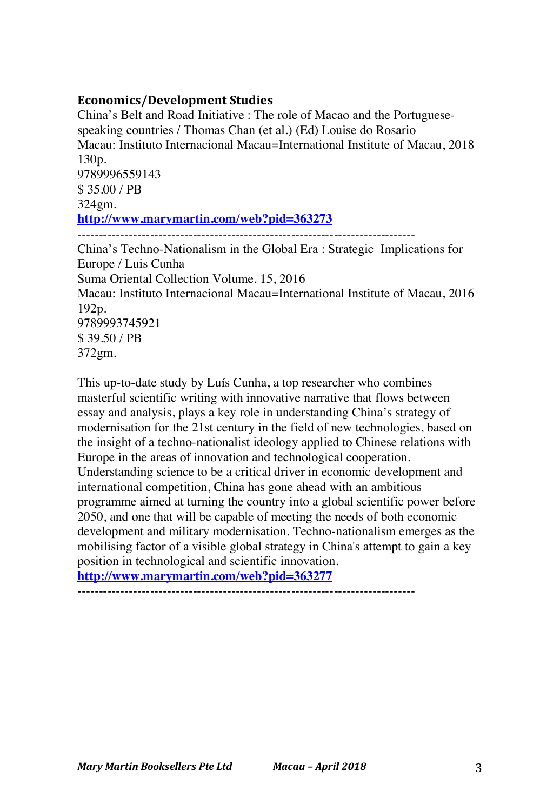### **Economics/Development Studies**

China's Belt and Road Initiative : The role of Macao and the Portuguesespeaking countries / Thomas Chan (et al.) (Ed) Louise do Rosario Macau: Instituto Internacional Macau=International Institute of Macau, 2018 130p. 9789996559143 \$ 35.00 / PB 324gm. **http://www.marymartin.com/web?pid=363273** ------------------------------------------------------------------------------- China's Techno-Nationalism in the Global Era : Strategic Implications for Europe / Luis Cunha

Suma Oriental Collection Volume. 15, 2016

Macau: Instituto Internacional Macau=International Institute of Macau, 2016 192p. 9789993745921 \$ 39.50 / PB

372gm.

This up-to-date study by Luís Cunha, a top researcher who combines masterful scientific writing with innovative narrative that flows between essay and analysis, plays a key role in understanding China's strategy of modernisation for the 21st century in the field of new technologies, based on the insight of a techno-nationalist ideology applied to Chinese relations with Europe in the areas of innovation and technological cooperation. Understanding science to be a critical driver in economic development and international competition, China has gone ahead with an ambitious programme aimed at turning the country into a global scientific power before 2050, and one that will be capable of meeting the needs of both economic development and military modernisation. Techno-nationalism emerges as the mobilising factor of a visible global strategy in China's attempt to gain a key position in technological and scientific innovation.

**http://www.marymartin.com/web?pid=363277**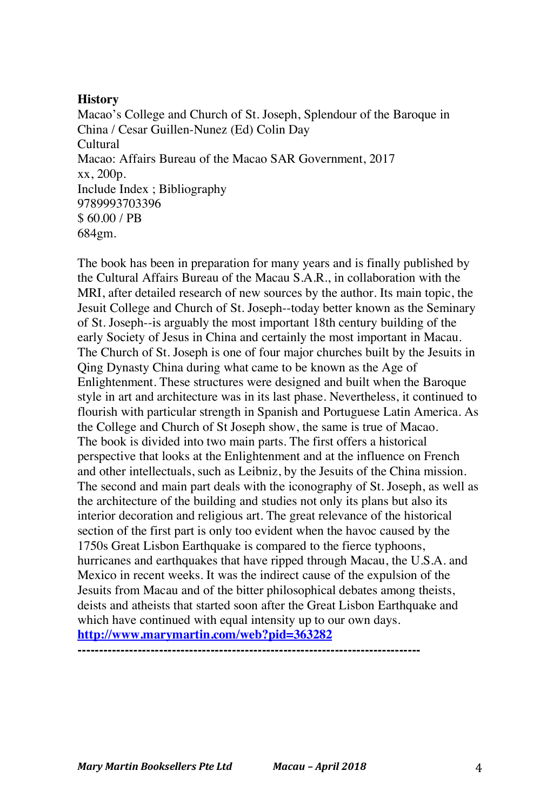#### **History**

Macao's College and Church of St. Joseph, Splendour of the Baroque in China / Cesar Guillen-Nunez (Ed) Colin Day Cultural Macao: Affairs Bureau of the Macao SAR Government, 2017 xx, 200p. Include Index ; Bibliography 9789993703396 \$ 60.00 / PB 684gm.

The book has been in preparation for many years and is finally published by the Cultural Affairs Bureau of the Macau S.A.R., in collaboration with the MRI, after detailed research of new sources by the author. Its main topic, the Jesuit College and Church of St. Joseph--today better known as the Seminary of St. Joseph--is arguably the most important 18th century building of the early Society of Jesus in China and certainly the most important in Macau. The Church of St. Joseph is one of four major churches built by the Jesuits in Qing Dynasty China during what came to be known as the Age of Enlightenment. These structures were designed and built when the Baroque style in art and architecture was in its last phase. Nevertheless, it continued to flourish with particular strength in Spanish and Portuguese Latin America. As the College and Church of St Joseph show, the same is true of Macao. The book is divided into two main parts. The first offers a historical perspective that looks at the Enlightenment and at the influence on French and other intellectuals, such as Leibniz, by the Jesuits of the China mission. The second and main part deals with the iconography of St. Joseph, as well as the architecture of the building and studies not only its plans but also its interior decoration and religious art. The great relevance of the historical section of the first part is only too evident when the havoc caused by the 1750s Great Lisbon Earthquake is compared to the fierce typhoons, hurricanes and earthquakes that have ripped through Macau, the U.S.A. and Mexico in recent weeks. It was the indirect cause of the expulsion of the Jesuits from Macau and of the bitter philosophical debates among theists, deists and atheists that started soon after the Great Lisbon Earthquake and which have continued with equal intensity up to our own days. **http://www.marymartin.com/web?pid=363282**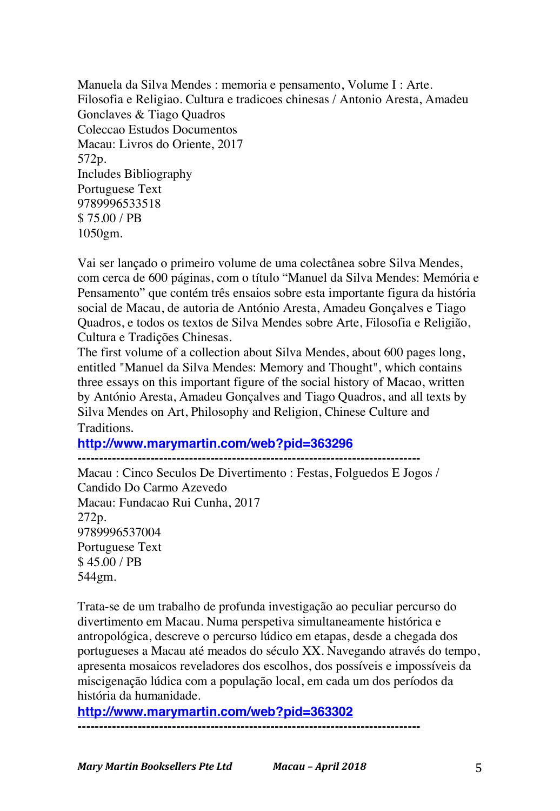Manuela da Silva Mendes : memoria e pensamento, Volume I : Arte. Filosofia e Religiao. Cultura e tradicoes chinesas / Antonio Aresta, Amadeu Gonclaves & Tiago Quadros Coleccao Estudos Documentos Macau: Livros do Oriente, 2017 572p. Includes Bibliography Portuguese Text 9789996533518 \$ 75.00 / PB 1050gm.

Vai ser lançado o primeiro volume de uma colectânea sobre Silva Mendes, com cerca de 600 páginas, com o título "Manuel da Silva Mendes: Memória e Pensamento" que contém três ensaios sobre esta importante figura da história social de Macau, de autoria de António Aresta, Amadeu Gonçalves e Tiago Quadros, e todos os textos de Silva Mendes sobre Arte, Filosofia e Religião, Cultura e Tradições Chinesas.

The first volume of a collection about Silva Mendes, about 600 pages long, entitled "Manuel da Silva Mendes: Memory and Thought", which contains three essays on this important figure of the social history of Macao, written by António Aresta, Amadeu Gonçalves and Tiago Quadros, and all texts by Silva Mendes on Art, Philosophy and Religion, Chinese Culture and Traditions.

**http://www.marymartin.com/web?pid=363296**

**--------------------------------------------------------------------------------**

Macau : Cinco Seculos De Divertimento : Festas, Folguedos E Jogos / Candido Do Carmo Azevedo Macau: Fundacao Rui Cunha, 2017 272p. 9789996537004 Portuguese Text \$ 45.00 / PB 544gm.

Trata-se de um trabalho de profunda investigação ao peculiar percurso do divertimento em Macau. Numa perspetiva simultaneamente histórica e antropológica, descreve o percurso lúdico em etapas, desde a chegada dos portugueses a Macau até meados do século XX. Navegando através do tempo, apresenta mosaicos reveladores dos escolhos, dos possíveis e impossíveis da miscigenação lúdica com a população local, em cada um dos períodos da história da humanidade.

**http://www.marymartin.com/web?pid=363302**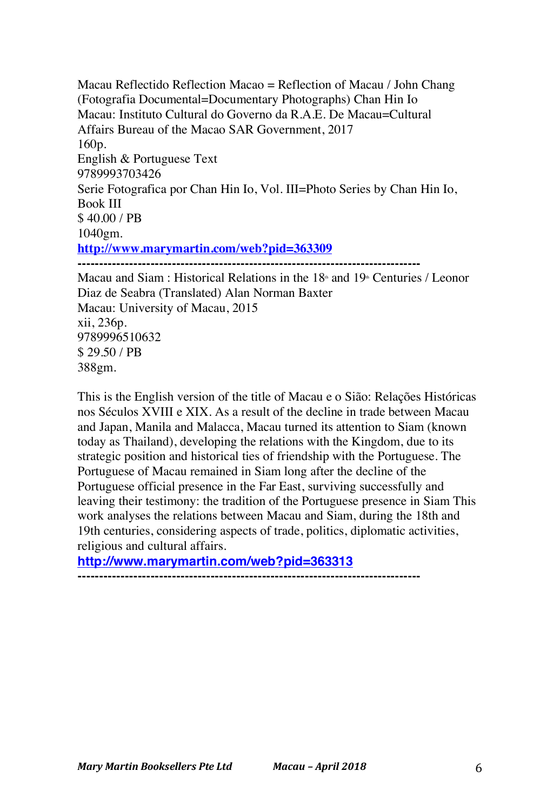Macau Reflectido Reflection Macao = Reflection of Macau / John Chang (Fotografia Documental=Documentary Photographs) Chan Hin Io Macau: Instituto Cultural do Governo da R.A.E. De Macau=Cultural Affairs Bureau of the Macao SAR Government, 2017 160p. English & Portuguese Text 9789993703426 Serie Fotografica por Chan Hin Io, Vol. III=Photo Series by Chan Hin Io, Book III \$ 40.00 / PB 1040gm. **http://www.marymartin.com/web?pid=363309 --------------------------------------------------------------------------------** Macau and Siam : Historical Relations in the  $18<sup>th</sup>$  and  $19<sup>th</sup>$  Centuries / Leonor Diaz de Seabra (Translated) Alan Norman Baxter Macau: University of Macau, 2015

xii, 236p. 9789996510632 \$ 29.50 / PB 388gm.

This is the English version of the title of Macau e o Sião: Relações Históricas nos Séculos XVIII e XIX. As a result of the decline in trade between Macau and Japan, Manila and Malacca, Macau turned its attention to Siam (known today as Thailand), developing the relations with the Kingdom, due to its strategic position and historical ties of friendship with the Portuguese. The Portuguese of Macau remained in Siam long after the decline of the Portuguese official presence in the Far East, surviving successfully and leaving their testimony: the tradition of the Portuguese presence in Siam This work analyses the relations between Macau and Siam, during the 18th and 19th centuries, considering aspects of trade, politics, diplomatic activities, religious and cultural affairs.

# **http://www.marymartin.com/web?pid=363313**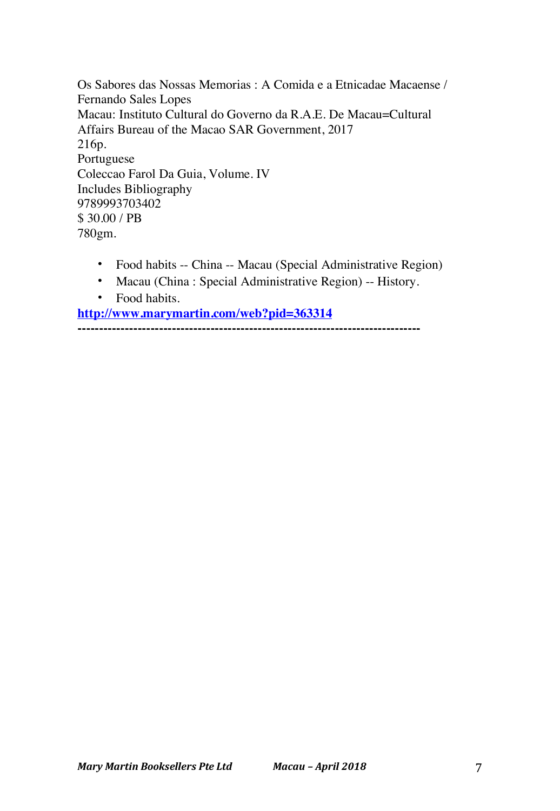Os Sabores das Nossas Memorias : A Comida e a Etnicadae Macaense / Fernando Sales Lopes Macau: Instituto Cultural do Governo da R.A.E. De Macau=Cultural Affairs Bureau of the Macao SAR Government, 2017 216p. Portuguese Coleccao Farol Da Guia, Volume. IV Includes Bibliography 9789993703402 \$ 30.00 / PB 780gm.

- Food habits -- China -- Macau (Special Administrative Region)
- Macau (China : Special Administrative Region) -- History.
- Food habits.

**http://www.marymartin.com/web?pid=363314**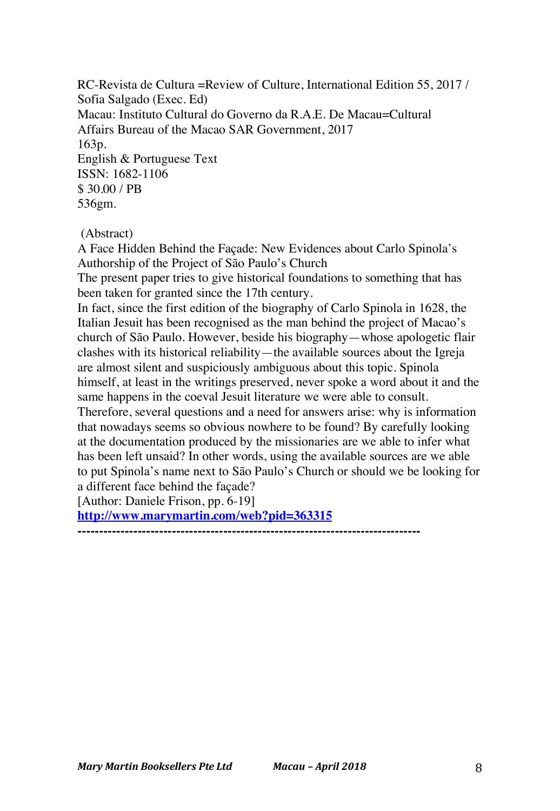RC-Revista de Cultura =Review of Culture, International Edition 55, 2017 / Sofia Salgado (Exec. Ed) Macau: Instituto Cultural do Governo da R.A.E. De Macau=Cultural Affairs Bureau of the Macao SAR Government, 2017 163p. English & Portuguese Text ISSN: 1682-1106 \$ 30.00 / PB 536gm.

(Abstract)

A Face Hidden Behind the Façade: New Evidences about Carlo Spinola's Authorship of the Project of São Paulo's Church

The present paper tries to give historical foundations to something that has been taken for granted since the 17th century.

In fact, since the first edition of the biography of Carlo Spinola in 1628, the Italian Jesuit has been recognised as the man behind the project of Macao's church of São Paulo. However, beside his biography—whose apologetic flair clashes with its historical reliability—the available sources about the Igreja are almost silent and suspiciously ambiguous about this topic. Spinola himself, at least in the writings preserved, never spoke a word about it and the same happens in the coeval Jesuit literature we were able to consult.

Therefore, several questions and a need for answers arise: why is information that nowadays seems so obvious nowhere to be found? By carefully looking at the documentation produced by the missionaries are we able to infer what has been left unsaid? In other words, using the available sources are we able to put Spinola's name next to São Paulo's Church or should we be looking for a different face behind the façade?

[Author: Daniele Frison, pp. 6-19]

**http://www.marymartin.com/web?pid=363315**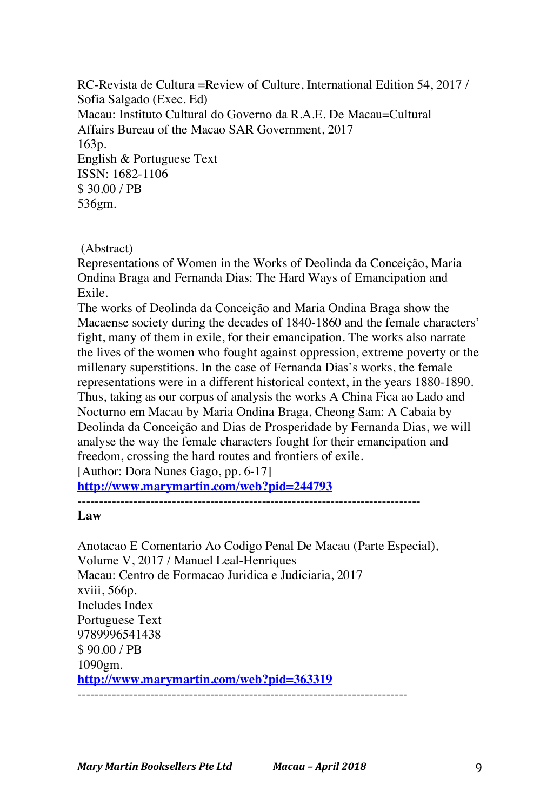RC-Revista de Cultura =Review of Culture, International Edition 54, 2017 / Sofia Salgado (Exec. Ed) Macau: Instituto Cultural do Governo da R.A.E. De Macau=Cultural Affairs Bureau of the Macao SAR Government, 2017 163p. English & Portuguese Text ISSN: 1682-1106 \$ 30.00 / PB 536gm.

(Abstract)

Representations of Women in the Works of Deolinda da Conceição, Maria Ondina Braga and Fernanda Dias: The Hard Ways of Emancipation and Exile.

The works of Deolinda da Conceição and Maria Ondina Braga show the Macaense society during the decades of 1840-1860 and the female characters' fight, many of them in exile, for their emancipation. The works also narrate the lives of the women who fought against oppression, extreme poverty or the millenary superstitions. In the case of Fernanda Dias's works, the female representations were in a different historical context, in the years 1880-1890. Thus, taking as our corpus of analysis the works A China Fica ao Lado and Nocturno em Macau by Maria Ondina Braga, Cheong Sam: A Cabaia by Deolinda da Conceição and Dias de Prosperidade by Fernanda Dias, we will analyse the way the female characters fought for their emancipation and freedom, crossing the hard routes and frontiers of exile.

[Author: Dora Nunes Gago, pp. 6-17]

**http://www.marymartin.com/web?pid=244793**

**--------------------------------------------------------------------------------**

**Law**

Anotacao E Comentario Ao Codigo Penal De Macau (Parte Especial), Volume V, 2017 / Manuel Leal-Henriques Macau: Centro de Formacao Juridica e Judiciaria, 2017 xviii, 566p. Includes Index Portuguese Text 9789996541438 \$ 90.00 / PB 1090gm. **http://www.marymartin.com/web?pid=363319** -----------------------------------------------------------------------------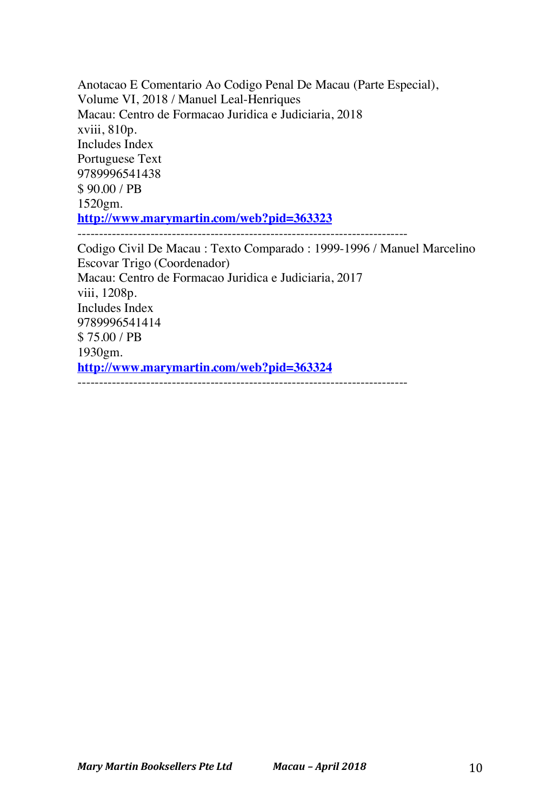Anotacao E Comentario Ao Codigo Penal De Macau (Parte Especial), Volume VI, 2018 / Manuel Leal-Henriques Macau: Centro de Formacao Juridica e Judiciaria, 2018 xviii, 810p. Includes Index Portuguese Text 9789996541438 \$ 90.00 / PB 1520gm. **http://www.marymartin.com/web?pid=363323** ----------------------------------------------------------------------------- Codigo Civil De Macau : Texto Comparado : 1999-1996 / Manuel Marcelino Escovar Trigo (Coordenador) Macau: Centro de Formacao Juridica e Judiciaria, 2017 viii, 1208p. Includes Index 9789996541414 \$ 75.00 / PB 1930gm. **http://www.marymartin.com/web?pid=363324**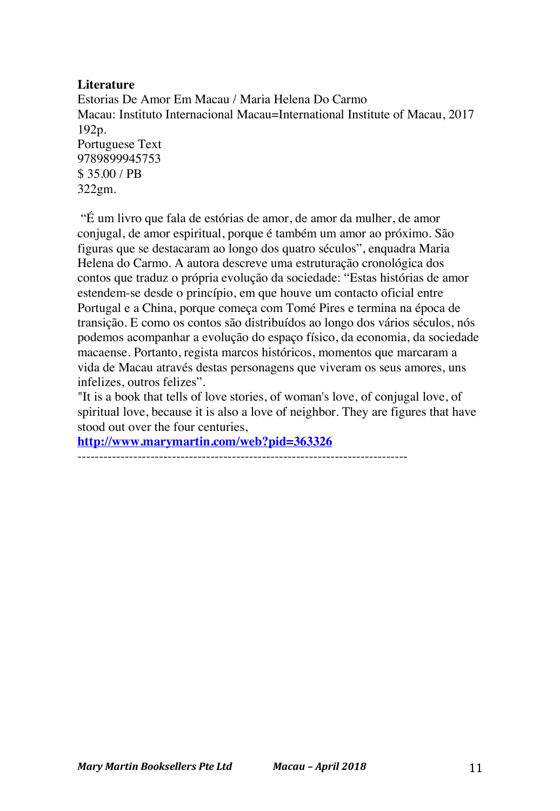### **Literature**

Estorias De Amor Em Macau / Maria Helena Do Carmo Macau: Instituto Internacional Macau=International Institute of Macau, 2017 192p. Portuguese Text 9789899945753 \$ 35.00 / PB 322gm.

"É um livro que fala de estórias de amor, de amor da mulher, de amor conjugal, de amor espiritual, porque é também um amor ao próximo. São figuras que se destacaram ao longo dos quatro séculos", enquadra Maria Helena do Carmo. A autora descreve uma estruturação cronológica dos contos que traduz o própria evolução da sociedade: "Estas histórias de amor estendem-se desde o princípio, em que houve um contacto oficial entre Portugal e a China, porque começa com Tomé Pires e termina na época de transição. E como os contos são distribuídos ao longo dos vários séculos, nós podemos acompanhar a evolução do espaço físico, da economia, da sociedade macaense. Portanto, regista marcos históricos, momentos que marcaram a vida de Macau através destas personagens que viveram os seus amores, uns infelizes, outros felizes".

"It is a book that tells of love stories, of woman's love, of conjugal love, of spiritual love, because it is also a love of neighbor. They are figures that have stood out over the four centuries,

**http://www.marymartin.com/web?pid=363326**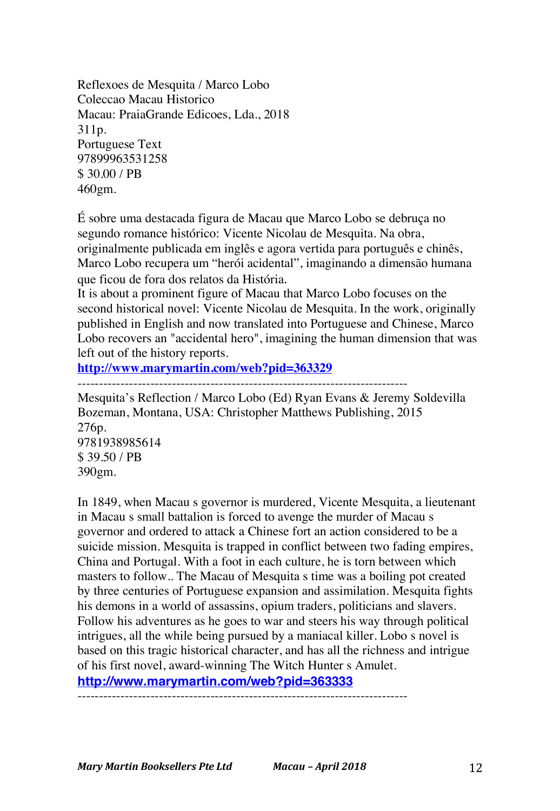Reflexoes de Mesquita / Marco Lobo Coleccao Macau Historico Macau: PraiaGrande Edicoes, Lda., 2018 311p. Portuguese Text 97899963531258 \$ 30.00 / PB 460gm.

É sobre uma destacada figura de Macau que Marco Lobo se debruça no segundo romance histórico: Vicente Nicolau de Mesquita. Na obra, originalmente publicada em inglês e agora vertida para português e chinês, Marco Lobo recupera um "herói acidental", imaginando a dimensão humana que ficou de fora dos relatos da História.

It is about a prominent figure of Macau that Marco Lobo focuses on the second historical novel: Vicente Nicolau de Mesquita. In the work, originally published in English and now translated into Portuguese and Chinese, Marco Lobo recovers an "accidental hero", imagining the human dimension that was left out of the history reports.

**http://www.marymartin.com/web?pid=363329**

-----------------------------------------------------------------------------

Mesquita's Reflection / Marco Lobo (Ed) Ryan Evans & Jeremy Soldevilla Bozeman, Montana, USA: Christopher Matthews Publishing, 2015 276p. 9781938985614 \$ 39.50 / PB 390gm.

In 1849, when Macau s governor is murdered, Vicente Mesquita, a lieutenant in Macau s small battalion is forced to avenge the murder of Macau s governor and ordered to attack a Chinese fort an action considered to be a suicide mission. Mesquita is trapped in conflict between two fading empires, China and Portugal. With a foot in each culture, he is torn between which masters to follow.. The Macau of Mesquita s time was a boiling pot created by three centuries of Portuguese expansion and assimilation. Mesquita fights his demons in a world of assassins, opium traders, politicians and slavers. Follow his adventures as he goes to war and steers his way through political intrigues, all the while being pursued by a maniacal killer. Lobo s novel is based on this tragic historical character, and has all the richness and intrigue of his first novel, award-winning The Witch Hunter s Amulet.

**http://www.marymartin.com/web?pid=363333**